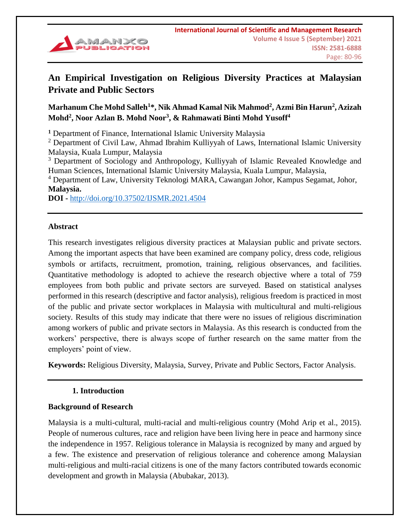

# **An Empirical Investigation on Religious Diversity Practices at Malaysian Private and Public Sectors**

## **Marhanum Che Mohd Salleh<sup>1</sup>\*, Nik Ahmad Kamal Nik Mahmod<sup>2</sup> , Azmi Bin Harun<sup>2</sup> ,Azizah Mohd<sup>2</sup> , Noor Azlan B. Mohd Noor<sup>3</sup> , & Rahmawati Binti Mohd Yusoff<sup>4</sup>**

**<sup>1</sup>** Department of Finance, International Islamic University Malaysia

 $2$  Department of Civil Law, Ahmad Ibrahim Kulliyyah of Laws, International Islamic University Malaysia, Kuala Lumpur, Malaysia

<sup>3</sup> Department of Sociology and Anthropology, Kulliyyah of Islamic Revealed Knowledge and Human Sciences, International Islamic University Malaysia, Kuala Lumpur, Malaysia,

<sup>4</sup> Department of Law, University Teknologi MARA, Cawangan Johor, Kampus Segamat, Johor, **Malaysia.**

**DOI -** <http://doi.org/10.37502/IJSMR.2021.4504>

#### **Abstract**

This research investigates religious diversity practices at Malaysian public and private sectors. Among the important aspects that have been examined are company policy, dress code, religious symbols or artifacts, recruitment, promotion, training, religious observances, and facilities. Quantitative methodology is adopted to achieve the research objective where a total of 759 employees from both public and private sectors are surveyed. Based on statistical analyses performed in this research (descriptive and factor analysis), religious freedom is practiced in most of the public and private sector workplaces in Malaysia with multicultural and multi-religious society. Results of this study may indicate that there were no issues of religious discrimination among workers of public and private sectors in Malaysia. As this research is conducted from the workers' perspective, there is always scope of further research on the same matter from the employers' point of view.

**Keywords:** Religious Diversity, Malaysia, Survey, Private and Public Sectors, Factor Analysis.

### **1. Introduction**

### **Background of Research**

Malaysia is a multi-cultural, multi-racial and multi-religious country (Mohd Arip et al., 2015). People of numerous cultures, race and religion have been living here in peace and harmony since the independence in 1957. Religious tolerance in Malaysia is recognized by many and argued by a few. The existence and preservation of religious tolerance and coherence among Malaysian multi-religious and multi-racial citizens is one of the many factors contributed towards economic development and growth in Malaysia (Abubakar, 2013).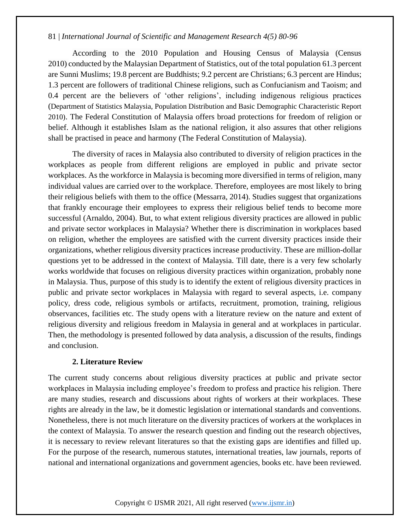According to the 2010 Population and Housing Census of Malaysia (Census 2010) conducted by the Malaysian Department of Statistics, out of the total population 61.3 percent are Sunni Muslims; 19.8 percent are Buddhists; 9.2 percent are Christians; 6.3 percent are Hindus; 1.3 percent are followers of traditional Chinese religions, such as Confucianism and Taoism; and 0.4 percent are the believers of 'other religions', including indigenous religious practices (Department of Statistics Malaysia, Population Distribution and Basic Demographic Characteristic Report 2010). The Federal Constitution of Malaysia offers broad protections for freedom of religion or belief. Although it establishes Islam as the national religion, it also assures that other religions shall be practised in peace and harmony (The Federal Constitution of Malaysia).

The diversity of races in Malaysia also contributed to diversity of religion practices in the workplaces as people from different religions are employed in public and private sector workplaces. As the workforce in Malaysia is becoming more diversified in terms of religion, many individual values are carried over to the workplace. Therefore, employees are most likely to bring their religious beliefs with them to the office (Messarra, 2014). Studies suggest that organizations that frankly encourage their employees to express their religious belief tends to become more successful (Arnaldo, 2004). But, to what extent religious diversity practices are allowed in public and private sector workplaces in Malaysia? Whether there is discrimination in workplaces based on religion, whether the employees are satisfied with the current diversity practices inside their organizations, whether religious diversity practices increase productivity. These are million-dollar questions yet to be addressed in the context of Malaysia. Till date, there is a very few scholarly works worldwide that focuses on religious diversity practices within organization, probably none in Malaysia. Thus, purpose of this study is to identify the extent of religious diversity practices in public and private sector workplaces in Malaysia with regard to several aspects, i.e. company policy, dress code, religious symbols or artifacts, recruitment, promotion, training, religious observances, facilities etc. The study opens with a literature review on the nature and extent of religious diversity and religious freedom in Malaysia in general and at workplaces in particular. Then, the methodology is presented followed by data analysis, a discussion of the results, findings and conclusion.

#### **2. Literature Review**

The current study concerns about religious diversity practices at public and private sector workplaces in Malaysia including employee's freedom to profess and practice his religion. There are many studies, research and discussions about rights of workers at their workplaces. These rights are already in the law, be it domestic legislation or international standards and conventions. Nonetheless, there is not much literature on the diversity practices of workers at the workplaces in the context of Malaysia. To answer the research question and finding out the research objectives, it is necessary to review relevant literatures so that the existing gaps are identifies and filled up. For the purpose of the research, numerous statutes, international treaties, law journals, reports of national and international organizations and government agencies, books etc. have been reviewed.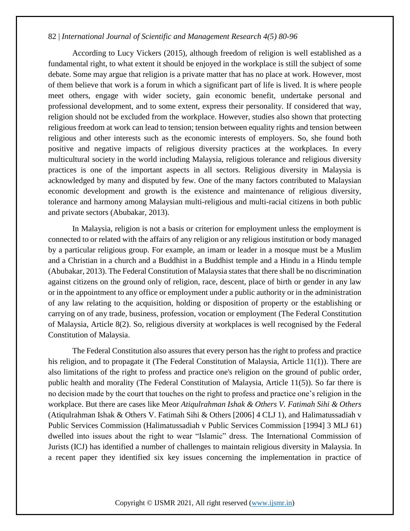According to Lucy Vickers (2015), although freedom of religion is well established as a fundamental right, to what extent it should be enjoyed in the workplace is still the subject of some debate. Some may argue that religion is a private matter that has no place at work. However, most of them believe that work is a forum in which a significant part of life is lived. It is where people meet others, engage with wider society, gain economic benefit, undertake personal and professional development, and to some extent, express their personality. If considered that way, religion should not be excluded from the workplace. However, studies also shown that protecting religious freedom at work can lead to tension; tension between equality rights and tension between religious and other interests such as the economic interests of employers. So, she found both positive and negative impacts of religious diversity practices at the workplaces. In every multicultural society in the world including Malaysia, religious tolerance and religious diversity practices is one of the important aspects in all sectors. Religious diversity in Malaysia is acknowledged by many and disputed by few. One of the many factors contributed to Malaysian economic development and growth is the existence and maintenance of religious diversity, tolerance and harmony among Malaysian multi-religious and multi-racial citizens in both public and private sectors (Abubakar, 2013).

In Malaysia, religion is not a basis or criterion for employment unless the employment is connected to or related with the affairs of any religion or any religious institution or body managed by a particular religious group. For example, an imam or leader in a mosque must be a Muslim and a Christian in a church and a Buddhist in a Buddhist temple and a Hindu in a Hindu temple (Abubakar, 2013). The Federal Constitution of Malaysia states that there shall be no discrimination against citizens on the ground only of religion, race, descent, place of birth or gender in any law or in the appointment to any office or employment under a public authority or in the administration of any law relating to the acquisition, holding or disposition of property or the establishing or carrying on of any trade, business, profession, vocation or employment (The Federal Constitution of Malaysia, Article 8(2). So, religious diversity at workplaces is well recognised by the Federal Constitution of Malaysia.

The Federal Constitution also assures that every person has the right to profess and practice his religion, and to propagate it (The Federal Constitution of Malaysia, Article 11(1)). There are also limitations of the right to profess and practice one's religion on the ground of public order, public health and morality (The Federal Constitution of Malaysia, Article 11(5)). So far there is no decision made by the court that touches on the right to profess and practice one's religion in the workplace. But there are cases like Meor *Atiqulrahman Ishak & Others V. Fatimah Sihi & Others* (Atiqulrahman Ishak & Others V. Fatimah Sihi & Others [2006] 4 CLJ 1), and Halimatussadiah v Public Services Commission (Halimatussadiah v Public Services Commission [1994] 3 MLJ 61) dwelled into issues about the right to wear "Islamic" dress. The International Commission of Jurists (ICJ) has identified a number of challenges to maintain religious diversity in Malaysia. In a recent paper they identified six key issues concerning the implementation in practice of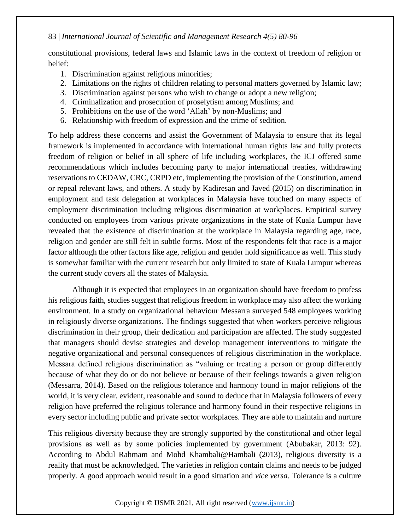constitutional provisions, federal laws and Islamic laws in the context of freedom of religion or belief:

- 1. Discrimination against religious minorities;
- 2. Limitations on the rights of children relating to personal matters governed by Islamic law;
- 3. Discrimination against persons who wish to change or adopt a new religion;
- 4. Criminalization and prosecution of proselytism among Muslims; and
- 5. Prohibitions on the use of the word 'Allah' by non-Muslims; and
- 6. Relationship with freedom of expression and the crime of sedition.

To help address these concerns and assist the Government of Malaysia to ensure that its legal framework is implemented in accordance with international human rights law and fully protects freedom of religion or belief in all sphere of life including workplaces, the ICJ offered some recommendations which includes becoming party to major international treaties, withdrawing reservations to CEDAW, CRC, CRPD etc, implementing the provision of the Constitution, amend or repeal relevant laws, and others. A study by Kadiresan and Javed (2015) on discrimination in employment and task delegation at workplaces in Malaysia have touched on many aspects of employment discrimination including religious discrimination at workplaces. Empirical survey conducted on employees from various private organizations in the state of Kuala Lumpur have revealed that the existence of discrimination at the workplace in Malaysia regarding age, race, religion and gender are still felt in subtle forms. Most of the respondents felt that race is a major factor although the other factors like age, religion and gender hold significance as well. This study is somewhat familiar with the current research but only limited to state of Kuala Lumpur whereas the current study covers all the states of Malaysia.

Although it is expected that employees in an organization should have freedom to profess his religious faith, studies suggest that religious freedom in workplace may also affect the working environment. In a study on organizational behaviour Messarra surveyed 548 employees working in religiously diverse organizations. The findings suggested that when workers perceive religious discrimination in their group, their dedication and participation are affected. The study suggested that managers should devise strategies and develop management interventions to mitigate the negative organizational and personal consequences of religious discrimination in the workplace. Messara defined religious discrimination as "valuing or treating a person or group differently because of what they do or do not believe or because of their feelings towards a given religion (Messarra, 2014). Based on the religious tolerance and harmony found in major religions of the world, it is very clear, evident, reasonable and sound to deduce that in Malaysia followers of every religion have preferred the religious tolerance and harmony found in their respective religions in every sector including public and private sector workplaces. They are able to maintain and nurture

This religious diversity because they are strongly supported by the constitutional and other legal provisions as well as by some policies implemented by government (Abubakar, 2013: 92). According to Abdul Rahmam and Mohd Khambali@Hambali (2013), religious diversity is a reality that must be acknowledged. The varieties in religion contain claims and needs to be judged properly. A good approach would result in a good situation and *vice versa*. Tolerance is a culture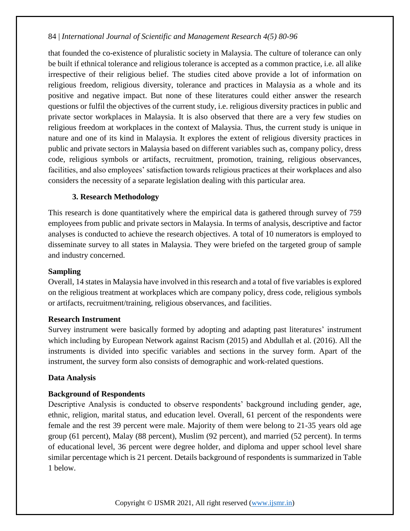that founded the co-existence of pluralistic society in Malaysia. The culture of tolerance can only be built if ethnical tolerance and religious tolerance is accepted as a common practice, i.e. all alike irrespective of their religious belief. The studies cited above provide a lot of information on religious freedom, religious diversity, tolerance and practices in Malaysia as a whole and its positive and negative impact. But none of these literatures could either answer the research questions or fulfil the objectives of the current study, i.e. religious diversity practices in public and private sector workplaces in Malaysia. It is also observed that there are a very few studies on religious freedom at workplaces in the context of Malaysia. Thus, the current study is unique in nature and one of its kind in Malaysia. It explores the extent of religious diversity practices in public and private sectors in Malaysia based on different variables such as, company policy, dress code, religious symbols or artifacts, recruitment, promotion, training, religious observances, facilities, and also employees' satisfaction towards religious practices at their workplaces and also considers the necessity of a separate legislation dealing with this particular area.

### **3. Research Methodology**

This research is done quantitatively where the empirical data is gathered through survey of 759 employees from public and private sectors in Malaysia. In terms of analysis, descriptive and factor analyses is conducted to achieve the research objectives. A total of 10 numerators is employed to disseminate survey to all states in Malaysia. They were briefed on the targeted group of sample and industry concerned.

#### **Sampling**

Overall, 14 states in Malaysia have involved in this research and a total of five variables is explored on the religious treatment at workplaces which are company policy, dress code, religious symbols or artifacts, recruitment/training, religious observances, and facilities.

#### **Research Instrument**

Survey instrument were basically formed by adopting and adapting past literatures' instrument which including by European Network against Racism (2015) and Abdullah et al. (2016). All the instruments is divided into specific variables and sections in the survey form. Apart of the instrument, the survey form also consists of demographic and work-related questions.

#### **Data Analysis**

### **Background of Respondents**

Descriptive Analysis is conducted to observe respondents' background including gender, age, ethnic, religion, marital status, and education level. Overall, 61 percent of the respondents were female and the rest 39 percent were male. Majority of them were belong to 21-35 years old age group (61 percent), Malay (88 percent), Muslim (92 percent), and married (52 percent). In terms of educational level, 36 percent were degree holder, and diploma and upper school level share similar percentage which is 21 percent. Details background of respondents is summarized in Table 1 below.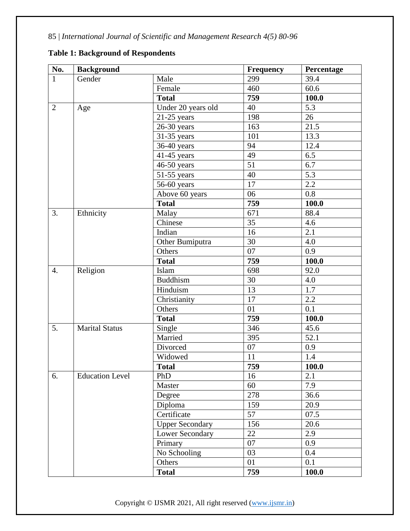| No.              | <b>Background</b>      |                        | <b>Frequency</b> | Percentage         |
|------------------|------------------------|------------------------|------------------|--------------------|
| 1                | Gender                 | Male                   | 299              | 39.4               |
|                  |                        | Female                 | 460              | 60.6               |
|                  |                        | <b>Total</b>           | 759              | 100.0              |
| $\overline{2}$   | Age                    | Under 20 years old     | 40               | 5.3                |
|                  |                        | $21-25$ years          | 198              | 26                 |
|                  |                        | $26-30$ years          | 163              | 21.5               |
|                  |                        | 31-35 years            | 101              | 13.3               |
|                  |                        | 36-40 years            | 94               | 12.4               |
|                  |                        | $41-45$ years          | 49               | 6.5                |
|                  |                        | 46-50 years            | 51               | 6.7                |
|                  |                        | $51-55$ years          | 40               | 5.3                |
|                  |                        | 56-60 years            | 17               | 2.2                |
|                  |                        | Above 60 years         | 06               | 0.8                |
|                  |                        | <b>Total</b>           | 759              | 100.0              |
| 3.               | Ethnicity              | Malay                  | 671              | 88.4               |
|                  |                        | Chinese                | 35               | 4.6                |
|                  |                        | Indian                 | 16               | 2.1                |
|                  |                        | Other Bumiputra        | 30               | 4.0                |
|                  |                        | Others                 | 07               | 0.9                |
|                  |                        | <b>Total</b>           | 759              | 100.0              |
| $\overline{4}$ . | Religion               | Islam                  | 698              | 92.0               |
|                  |                        | <b>Buddhism</b>        | 30               | 4.0                |
|                  |                        | Hinduism               | 13               | 1.7                |
|                  |                        | Christianity           | 17               | 2.2                |
|                  |                        | Others                 | 01               | 0.1                |
|                  |                        | <b>Total</b>           | 759              | 100.0              |
| 5.               | <b>Marital Status</b>  | Single                 | 346              | 45.6               |
|                  |                        | Married                | 395              | 52.1               |
|                  |                        | Divorced               | 07               | 0.9                |
|                  |                        | Widowed                | 11               | 1.4                |
|                  |                        | <b>Total</b>           | 759              | $\overline{100.0}$ |
| 6.               | <b>Education Level</b> | PhD                    | 16               | 2.1                |
|                  |                        | Master                 | 60               | 7.9                |
|                  |                        | Degree                 | 278              | 36.6               |
|                  |                        | Diploma                | 159              | 20.9               |
|                  |                        | Certificate            | 57               | 07.5               |
|                  |                        | <b>Upper Secondary</b> | 156              | 20.6               |
|                  |                        | <b>Lower Secondary</b> | 22               | 2.9                |
|                  |                        | Primary                | 07               | 0.9                |
|                  |                        | No Schooling           | 03               | 0.4                |
|                  |                        | Others                 | 01               | 0.1                |
|                  |                        | <b>Total</b>           | 759              | 100.0              |

## **Table 1: Background of Respondents**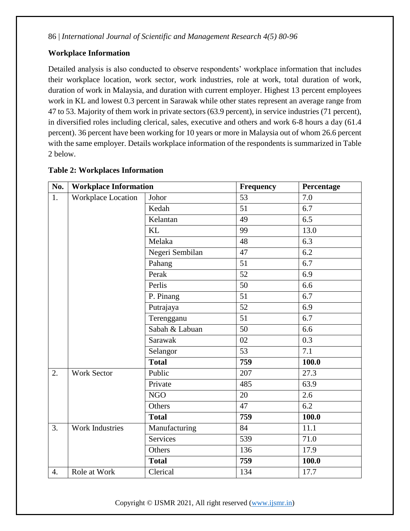## **Workplace Information**

Detailed analysis is also conducted to observe respondents' workplace information that includes their workplace location, work sector, work industries, role at work, total duration of work, duration of work in Malaysia, and duration with current employer. Highest 13 percent employees work in KL and lowest 0.3 percent in Sarawak while other states represent an average range from 47 to 53. Majority of them work in private sectors (63.9 percent), in service industries (71 percent), in diversified roles including clerical, sales, executive and others and work 6-8 hours a day (61.4 percent). 36 percent have been working for 10 years or more in Malaysia out of whom 26.6 percent with the same employer. Details workplace information of the respondents is summarized in Table 2 below.

| No. | <b>Workplace Information</b> |                      | Frequency | Percentage       |
|-----|------------------------------|----------------------|-----------|------------------|
| 1.  | Workplace Location           | Johor                | 53        | 7.0              |
|     |                              | Kedah                | 51        | 6.7              |
|     |                              | Kelantan             | 49        | 6.5              |
|     |                              | <b>KL</b>            | 99        | 13.0             |
|     |                              | Melaka               | 48        | $\overline{6.3}$ |
|     |                              | Negeri Sembilan      | 47        | 6.2              |
|     |                              | Pahang               | 51        | 6.7              |
|     |                              | Perak                | 52        | 6.9              |
|     |                              | Perlis               | 50        | 6.6              |
|     |                              | P. Pinang            | 51        | 6.7              |
|     |                              | Putrajaya            | 52        | 6.9              |
|     |                              | Terengganu           | 51        | 6.7              |
|     |                              | Sabah & Labuan       | 50        | 6.6              |
|     |                              | Sarawak              | 02        | $\overline{0.3}$ |
|     |                              | Selangor             | 53        | 7.1              |
|     |                              | <b>Total</b>         | 759       | 100.0            |
| 2.  | <b>Work Sector</b>           | $\overline{P}$ ublic | 207       | 27.3             |
|     |                              | Private              | 485       | 63.9             |
|     |                              | <b>NGO</b>           | 20        | 2.6              |
|     |                              | Others               | 47        | 6.2              |
|     |                              | <b>Total</b>         | 759       | 100.0            |
| 3.  | <b>Work Industries</b>       | Manufacturing        | 84        | 11.1             |
|     |                              | <b>Services</b>      | 539       | 71.0             |
|     |                              | Others               | 136       | 17.9             |
|     |                              | <b>Total</b>         | 759       | 100.0            |
| 4.  | Role at Work                 | Clerical             | 134       | 17.7             |

### **Table 2: Workplaces Information**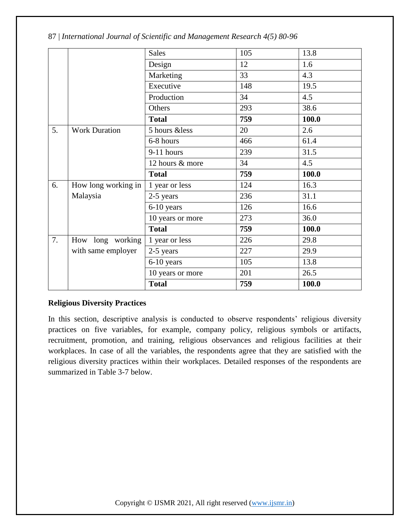|    |                      | <b>Sales</b>                  | 105 | 13.8  |
|----|----------------------|-------------------------------|-----|-------|
|    |                      | Design                        | 12  | 1.6   |
|    |                      | Marketing                     | 33  | 4.3   |
|    |                      | Executive                     | 148 | 19.5  |
|    |                      | Production                    | 34  | 4.5   |
|    |                      | Others                        | 293 | 38.6  |
|    |                      | <b>Total</b>                  | 759 | 100.0 |
| 5. | <b>Work Duration</b> | 5 hours &less                 | 20  | 2.6   |
|    |                      | 6-8 hours                     | 466 | 61.4  |
|    |                      | 9-11 hours                    | 239 | 31.5  |
|    |                      | 12 hours & more               | 34  | 4.5   |
|    |                      | <b>Total</b>                  | 759 | 100.0 |
| 6. | How long working in  | 1 year or less                | 124 | 16.3  |
|    | Malaysia             | 2-5 years                     | 236 | 31.1  |
|    |                      | 6-10 years                    | 126 | 16.6  |
|    |                      | 10 years or more              | 273 | 36.0  |
|    |                      | <b>Total</b>                  | 759 | 100.0 |
| 7. | How long working     | 1 year or less                | 226 | 29.8  |
|    | with same employer   | 2-5 years                     | 227 | 29.9  |
|    |                      | 6-10 years                    | 105 | 13.8  |
|    |                      |                               |     |       |
|    |                      | $\overline{10}$ years or more | 201 | 26.5  |

### **Religious Diversity Practices**

In this section, descriptive analysis is conducted to observe respondents' religious diversity practices on five variables, for example, company policy, religious symbols or artifacts, recruitment, promotion, and training, religious observances and religious facilities at their workplaces. In case of all the variables, the respondents agree that they are satisfied with the religious diversity practices within their workplaces. Detailed responses of the respondents are summarized in Table 3-7 below.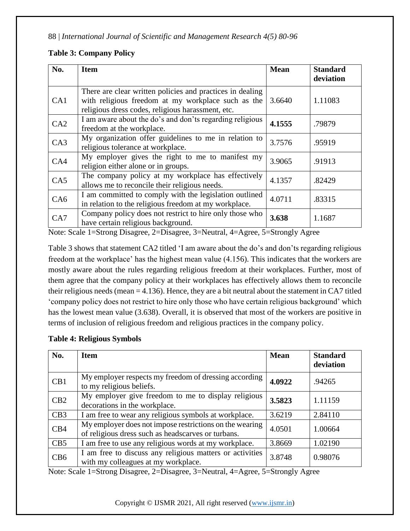## **Table 3: Company Policy**

| No. | <b>Item</b>                                                                                                                                                          | <b>Mean</b> | <b>Standard</b><br>deviation |
|-----|----------------------------------------------------------------------------------------------------------------------------------------------------------------------|-------------|------------------------------|
| CA1 | There are clear written policies and practices in dealing<br>with religious freedom at my workplace such as the<br>religious dress codes, religious harassment, etc. | 3.6640      | 1.11083                      |
| CA2 | I am aware about the do's and don'ts regarding religious<br>freedom at the workplace.                                                                                | 4.1555      | .79879                       |
| CA3 | My organization offer guidelines to me in relation to<br>religious tolerance at workplace.                                                                           | 3.7576      | .95919                       |
| CA4 | My employer gives the right to me to manifest my<br>religion either alone or in groups.                                                                              | 3.9065      | .91913                       |
| CA5 | The company policy at my workplace has effectively<br>allows me to reconcile their religious needs.                                                                  | 4.1357      | .82429                       |
| CA6 | I am committed to comply with the legislation outlined<br>in relation to the religious freedom at my workplace.                                                      | 4.0711      | .83315                       |
| CA7 | Company policy does not restrict to hire only those who<br>have certain religious background.                                                                        | 3.638       | 1.1687                       |

Note: Scale 1=Strong Disagree, 2=Disagree, 3=Neutral, 4=Agree, 5=Strongly Agree

Table 3 shows that statement CA2 titled 'I am aware about the do's and don'ts regarding religious freedom at the workplace' has the highest mean value (4.156). This indicates that the workers are mostly aware about the rules regarding religious freedom at their workplaces. Further, most of them agree that the company policy at their workplaces has effectively allows them to reconcile their religious needs (mean = 4.136). Hence, they are a bit neutral about the statement in CA7 titled 'company policy does not restrict to hire only those who have certain religious background' which has the lowest mean value (3.638). Overall, it is observed that most of the workers are positive in terms of inclusion of religious freedom and religious practices in the company policy.

| <b>Table 4: Religious Symbols</b> |  |
|-----------------------------------|--|
|                                   |  |

| No. | <b>Item</b>                                                                                                   | <b>Mean</b> | <b>Standard</b><br>deviation |
|-----|---------------------------------------------------------------------------------------------------------------|-------------|------------------------------|
| CB1 | My employer respects my freedom of dressing according<br>to my religious beliefs.                             | 4.0922      | .94265                       |
| CB2 | My employer give freedom to me to display religious<br>decorations in the workplace.                          | 3.5823      | 1.11159                      |
| CB3 | I am free to wear any religious symbols at workplace.                                                         | 3.6219      | 2.84110                      |
| CB4 | My employer does not impose restrictions on the wearing<br>of religious dress such as headscarves or turbans. | 4.0501      | 1.00664                      |
| CB5 | I am free to use any religious words at my workplace.                                                         | 3.8669      | 1.02190                      |
| CB6 | I am free to discuss any religious matters or activities<br>with my colleagues at my workplace.               | 3.8748      | 0.98076                      |

Note: Scale 1=Strong Disagree, 2=Disagree, 3=Neutral, 4=Agree, 5=Strongly Agree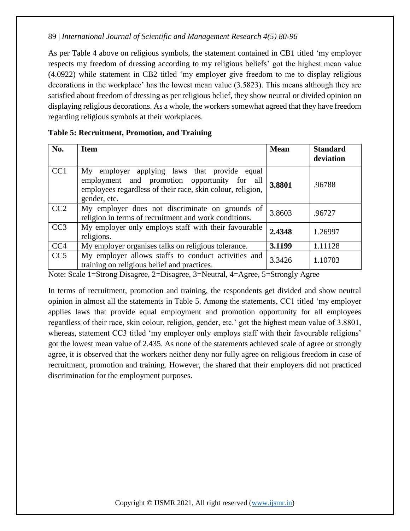As per Table 4 above on religious symbols, the statement contained in CB1 titled 'my employer respects my freedom of dressing according to my religious beliefs' got the highest mean value (4.0922) while statement in CB2 titled 'my employer give freedom to me to display religious decorations in the workplace' has the lowest mean value (3.5823). This means although they are satisfied about freedom of dressing as per religious belief, they show neutral or divided opinion on displaying religious decorations. As a whole, the workers somewhat agreed that they have freedom regarding religious symbols at their workplaces.

| No.             | <b>Item</b>                                                                                                                                                                | <b>Mean</b> | <b>Standard</b><br>deviation |
|-----------------|----------------------------------------------------------------------------------------------------------------------------------------------------------------------------|-------------|------------------------------|
| CC <sub>1</sub> | My employer applying laws that provide equal<br>employment and promotion opportunity for all<br>employees regardless of their race, skin colour, religion,<br>gender, etc. | 3.8801      | .96788                       |
| CC2             | My employer does not discriminate on grounds of<br>religion in terms of recruitment and work conditions.                                                                   | 3.8603      | .96727                       |
| CC <sub>3</sub> | My employer only employs staff with their favourable<br>religions.                                                                                                         | 2.4348      | 1.26997                      |
| CC <sub>4</sub> | My employer organises talks on religious tolerance.                                                                                                                        | 3.1199      | 1.11128                      |
| CC <sub>5</sub> | My employer allows staffs to conduct activities and<br>training on religious belief and practices.                                                                         | 3.3426      | 1.10703                      |

#### **Table 5: Recruitment, Promotion, and Training**

Note: Scale 1=Strong Disagree, 2=Disagree, 3=Neutral, 4=Agree, 5=Strongly Agree

In terms of recruitment, promotion and training, the respondents get divided and show neutral opinion in almost all the statements in Table 5. Among the statements, CC1 titled 'my employer applies laws that provide equal employment and promotion opportunity for all employees regardless of their race, skin colour, religion, gender, etc.' got the highest mean value of 3.8801, whereas, statement CC3 titled 'my employer only employs staff with their favourable religions' got the lowest mean value of 2.435. As none of the statements achieved scale of agree or strongly agree, it is observed that the workers neither deny nor fully agree on religious freedom in case of recruitment, promotion and training. However, the shared that their employers did not practiced discrimination for the employment purposes.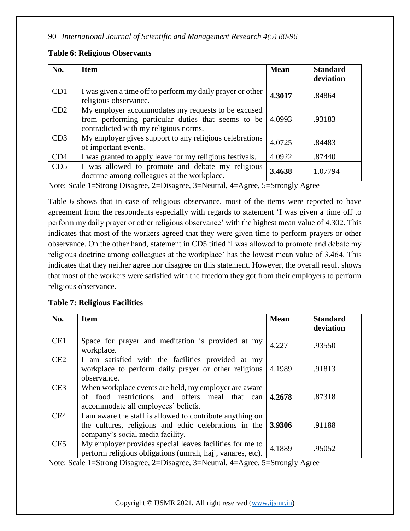| <b>Table 6: Religious Observants</b> |  |  |  |  |
|--------------------------------------|--|--|--|--|
|--------------------------------------|--|--|--|--|

| No.             | <b>Item</b>                                                                                                                                       | <b>Mean</b> | <b>Standard</b><br>deviation |
|-----------------|---------------------------------------------------------------------------------------------------------------------------------------------------|-------------|------------------------------|
| CD1             | I was given a time off to perform my daily prayer or other<br>religious observance.                                                               | 4.3017      | .84864                       |
| CD2             | My employer accommodates my requests to be excused<br>from performing particular duties that seems to be<br>contradicted with my religious norms. | 4.0993      | .93183                       |
| CD3             | My employer gives support to any religious celebrations<br>of important events.                                                                   | 4.0725      | .84483                       |
| CD4             | I was granted to apply leave for my religious festivals.                                                                                          | 4.0922      | .87440                       |
| CD <sub>5</sub> | I was allowed to promote and debate my religious<br>doctrine among colleagues at the workplace.                                                   | 3.4638      | 1.07794                      |

Note: Scale 1=Strong Disagree, 2=Disagree, 3=Neutral, 4=Agree, 5=Strongly Agree

Table 6 shows that in case of religious observance, most of the items were reported to have agreement from the respondents especially with regards to statement 'I was given a time off to perform my daily prayer or other religious observance' with the highest mean value of 4.302. This indicates that most of the workers agreed that they were given time to perform prayers or other observance. On the other hand, statement in CD5 titled 'I was allowed to promote and debate my religious doctrine among colleagues at the workplace' has the lowest mean value of 3.464. This indicates that they neither agree nor disagree on this statement. However, the overall result shows that most of the workers were satisfied with the freedom they got from their employers to perform religious observance.

### **Table 7: Religious Facilities**

| No.             | <b>Item</b>                                                                                                                                            | <b>Mean</b> | <b>Standard</b><br>deviation |
|-----------------|--------------------------------------------------------------------------------------------------------------------------------------------------------|-------------|------------------------------|
| CE1             | Space for prayer and meditation is provided at my<br>workplace.                                                                                        | 4.227       | .93550                       |
| CE2             | I am satisfied with the facilities provided at my<br>workplace to perform daily prayer or other religious<br>observance.                               | 4.1989      | .91813                       |
| CE3             | When workplace events are held, my employer are aware<br>food restrictions and offers meal that can<br>of<br>accommodate all employees' beliefs.       | 4.2678      | .87318                       |
| CE4             | I am aware the staff is allowed to contribute anything on<br>the cultures, religions and ethic celebrations in the<br>company's social media facility. | 3.9306      | .91188                       |
| CE <sub>5</sub> | My employer provides special leaves facilities for me to<br>perform religious obligations (umrah, hajj, vanares, etc).                                 | 4.1889      | .95052                       |

Note: Scale 1=Strong Disagree, 2=Disagree, 3=Neutral, 4=Agree, 5=Strongly Agree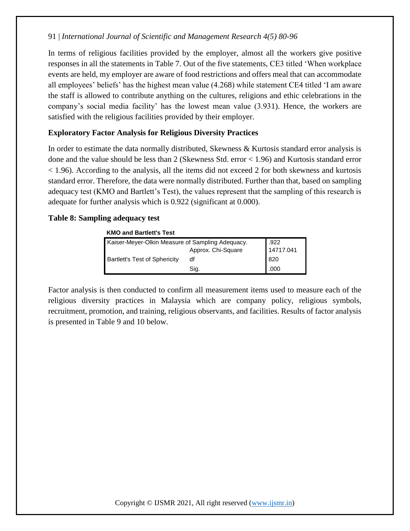In terms of religious facilities provided by the employer, almost all the workers give positive responses in all the statements in Table 7. Out of the five statements, CE3 titled 'When workplace events are held, my employer are aware of food restrictions and offers meal that can accommodate all employees' beliefs' has the highest mean value (4.268) while statement CE4 titled 'I am aware the staff is allowed to contribute anything on the cultures, religions and ethic celebrations in the company's social media facility' has the lowest mean value (3.931). Hence, the workers are satisfied with the religious facilities provided by their employer.

## **Exploratory Factor Analysis for Religious Diversity Practices**

In order to estimate the data normally distributed, Skewness & Kurtosis standard error analysis is done and the value should be less than 2 (Skewness Std. error < 1.96) and Kurtosis standard error < 1.96). According to the analysis, all the items did not exceed 2 for both skewness and kurtosis standard error. Therefore, the data were normally distributed. Further than that, based on sampling adequacy test (KMO and Bartlett's Test), the values represent that the sampling of this research is adequate for further analysis which is 0.922 (significant at 0.000).

## **Table 8: Sampling adequacy test**

#### **KMO and Bartlett's Test**

| Kaiser-Meyer-Olkin Measure of Sampling Adequacy. | .922               |           |
|--------------------------------------------------|--------------------|-----------|
|                                                  | Approx. Chi-Square | 14717.041 |
| <b>Bartlett's Test of Sphericity</b>             | df                 | 820       |
|                                                  | Sig.               | .000      |

Factor analysis is then conducted to confirm all measurement items used to measure each of the religious diversity practices in Malaysia which are company policy, religious symbols, recruitment, promotion, and training, religious observants, and facilities. Results of factor analysis is presented in Table 9 and 10 below.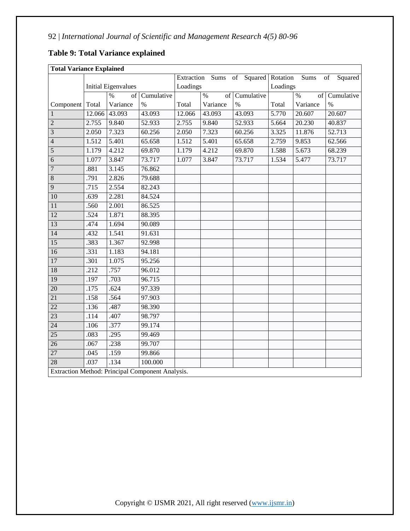| <b>Total Variance Explained</b> |        |                            |                                                  |          |              |                                     |       |            |               |
|---------------------------------|--------|----------------------------|--------------------------------------------------|----------|--------------|-------------------------------------|-------|------------|---------------|
|                                 |        |                            |                                                  |          |              | Extraction Sums of Squared Rotation |       | Sums       | of<br>Squared |
|                                 |        | <b>Initial Eigenvalues</b> |                                                  | Loadings |              | Loadings                            |       |            |               |
|                                 |        | $\frac{0}{0}$<br>of        | Cumulative                                       |          | $\%$<br>of l | Cumulative                          |       | $\%$<br>of | Cumulative    |
| Component                       | Total  | Variance                   | $\frac{0}{0}$                                    | Total    | Variance     | $\frac{0}{0}$                       | Total | Variance   | $\%$          |
| $\mathbf{1}$                    | 12.066 | 43.093                     | 43.093                                           | 12.066   | 43.093       | 43.093                              | 5.770 | 20.607     | 20.607        |
| $\overline{c}$                  | 2.755  | 9.840                      | 52.933                                           | 2.755    | 9.840        | 52.933                              | 5.664 | 20.230     | 40.837        |
| $\overline{3}$                  | 2.050  | 7.323                      | 60.256                                           | 2.050    | 7.323        | 60.256                              | 3.325 | 11.876     | 52.713        |
| $\overline{4}$                  | 1.512  | 5.401                      | 65.658                                           | 1.512    | 5.401        | 65.658                              | 2.759 | 9.853      | 62.566        |
| 5                               | 1.179  | 4.212                      | 69.870                                           | 1.179    | 4.212        | 69.870                              | 1.588 | 5.673      | 68.239        |
| 6                               | 1.077  | 3.847                      | 73.717                                           | 1.077    | 3.847        | 73.717                              | 1.534 | 5.477      | 73.717        |
| $\overline{7}$                  | .881   | 3.145                      | 76.862                                           |          |              |                                     |       |            |               |
| $\overline{8}$                  | .791   | 2.826                      | 79.688                                           |          |              |                                     |       |            |               |
| 9                               | .715   | 2.554                      | 82.243                                           |          |              |                                     |       |            |               |
| 10                              | .639   | 2.281                      | 84.524                                           |          |              |                                     |       |            |               |
| 11                              | .560   | 2.001                      | 86.525                                           |          |              |                                     |       |            |               |
| 12                              | .524   | 1.871                      | 88.395                                           |          |              |                                     |       |            |               |
| 13                              | .474   | 1.694                      | 90.089                                           |          |              |                                     |       |            |               |
| 14                              | .432   | 1.541                      | 91.631                                           |          |              |                                     |       |            |               |
| 15                              | .383   | 1.367                      | 92.998                                           |          |              |                                     |       |            |               |
| 16                              | .331   | 1.183                      | 94.181                                           |          |              |                                     |       |            |               |
| 17                              | .301   | 1.075                      | 95.256                                           |          |              |                                     |       |            |               |
| 18                              | .212   | .757                       | 96.012                                           |          |              |                                     |       |            |               |
| 19                              | .197   | .703                       | 96.715                                           |          |              |                                     |       |            |               |
| $\overline{20}$                 | .175   | .624                       | 97.339                                           |          |              |                                     |       |            |               |
| 21                              | .158   | .564                       | 97.903                                           |          |              |                                     |       |            |               |
| $\overline{22}$                 | .136   | .487                       | 98.390                                           |          |              |                                     |       |            |               |
| $\overline{23}$                 | .114   | .407                       | 98.797                                           |          |              |                                     |       |            |               |
| $\overline{24}$                 | .106   | .377                       | 99.174                                           |          |              |                                     |       |            |               |
| 25                              | .083   | .295                       | 99.469                                           |          |              |                                     |       |            |               |
| 26                              | .067   | .238                       | 99.707                                           |          |              |                                     |       |            |               |
| $\overline{27}$                 | .045   | .159                       | 99.866                                           |          |              |                                     |       |            |               |
| $\overline{28}$                 | .037   | .134                       | 100.000                                          |          |              |                                     |       |            |               |
|                                 |        |                            | Extraction Method: Principal Component Analysis. |          |              |                                     |       |            |               |

## **Table 9: Total Variance explained**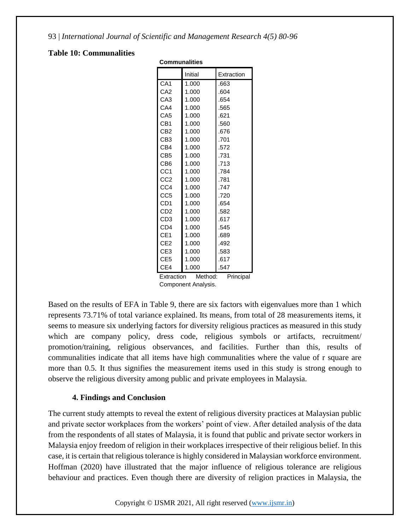#### **Table 10: Communalities**

| <b>Communalities</b> |         |            |
|----------------------|---------|------------|
|                      | Initial | Extraction |
| CA <sub>1</sub>      | 1.000   | .663       |
| CA <sub>2</sub>      | 1.000   | .604       |
| CA3                  | 1.000   | .654       |
| CA4                  | 1.000   | .565       |
| CA <sub>5</sub>      | 1.000   | .621       |
| CB <sub>1</sub>      | 1.000   | .560       |
| CB2                  | 1.000   | .676       |
| CB3                  | 1.000   | .701       |
| CB4                  | 1.000   | .572       |
| CB5                  | 1.000   | .731       |
| CB6                  | 1.000   | .713       |
| CC <sub>1</sub>      | 1.000   | .784       |
| CC <sub>2</sub>      | 1.000   | .781       |
| CC4                  | 1.000   | .747       |
| CC5                  | 1.000   | .720       |
| CD <sub>1</sub>      | 1.000   | .654       |
| CD <sub>2</sub>      | 1.000   | .582       |
| CD3                  | 1.000   | .617       |
| CD <sub>4</sub>      | 1.000   | .545       |
| CE1                  | 1.000   | .689       |
| CE <sub>2</sub>      | 1.000   | .492       |
| CE3                  | 1.000   | .583       |
| CE5                  | 1.000   | .617       |
| CE4                  | 1.000   | .547       |

Extraction Method: Principal Component Analysis.

Based on the results of EFA in Table 9, there are six factors with eigenvalues more than 1 which represents 73.71% of total variance explained. Its means, from total of 28 measurements items, it seems to measure six underlying factors for diversity religious practices as measured in this study which are company policy, dress code, religious symbols or artifacts, recruitment/ promotion/training, religious observances, and facilities. Further than this, results of communalities indicate that all items have high communalities where the value of r square are more than 0.5. It thus signifies the measurement items used in this study is strong enough to observe the religious diversity among public and private employees in Malaysia.

### **4. Findings and Conclusion**

The current study attempts to reveal the extent of religious diversity practices at Malaysian public and private sector workplaces from the workers' point of view. After detailed analysis of the data from the respondents of all states of Malaysia, it is found that public and private sector workers in Malaysia enjoy freedom of religion in their workplaces irrespective of their religious belief. In this case, it is certain that religious tolerance is highly considered in Malaysian workforce environment. Hoffman (2020) have illustrated that the major influence of religious tolerance are religious behaviour and practices. Even though there are diversity of religion practices in Malaysia, the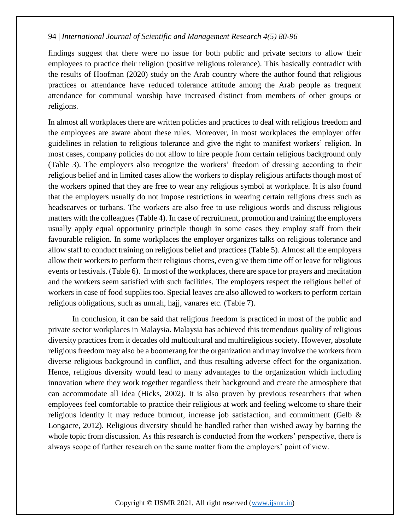findings suggest that there were no issue for both public and private sectors to allow their employees to practice their religion (positive religious tolerance). This basically contradict with the results of Hoofman (2020) study on the Arab country where the author found that religious practices or attendance have reduced tolerance attitude among the Arab people as frequent attendance for communal worship have increased distinct from members of other groups or religions.

In almost all workplaces there are written policies and practices to deal with religious freedom and the employees are aware about these rules. Moreover, in most workplaces the employer offer guidelines in relation to religious tolerance and give the right to manifest workers' religion. In most cases, company policies do not allow to hire people from certain religious background only (Table 3). The employers also recognize the workers' freedom of dressing according to their religious belief and in limited cases allow the workers to display religious artifacts though most of the workers opined that they are free to wear any religious symbol at workplace. It is also found that the employers usually do not impose restrictions in wearing certain religious dress such as headscarves or turbans. The workers are also free to use religious words and discuss religious matters with the colleagues (Table 4). In case of recruitment, promotion and training the employers usually apply equal opportunity principle though in some cases they employ staff from their favourable religion. In some workplaces the employer organizes talks on religious tolerance and allow staff to conduct training on religious belief and practices (Table 5). Almost all the employers allow their workers to perform their religious chores, even give them time off or leave for religious events or festivals. (Table 6). In most of the workplaces, there are space for prayers and meditation and the workers seem satisfied with such facilities. The employers respect the religious belief of workers in case of food supplies too. Special leaves are also allowed to workers to perform certain religious obligations, such as umrah, hajj, vanares etc. (Table 7).

In conclusion, it can be said that religious freedom is practiced in most of the public and private sector workplaces in Malaysia. Malaysia has achieved this tremendous quality of religious diversity practices from it decades old multicultural and multireligious society. However, absolute religious freedom may also be a boomerang for the organization and may involve the workers from diverse religious background in conflict, and thus resulting adverse effect for the organization. Hence, religious diversity would lead to many advantages to the organization which including innovation where they work together regardless their background and create the atmosphere that can accommodate all idea (Hicks, 2002). It is also proven by previous researchers that when employees feel comfortable to practice their religious at work and feeling welcome to share their religious identity it may reduce burnout, increase job satisfaction, and commitment (Gelb & Longacre, 2012). Religious diversity should be handled rather than wished away by barring the whole topic from discussion. As this research is conducted from the workers' perspective, there is always scope of further research on the same matter from the employers' point of view.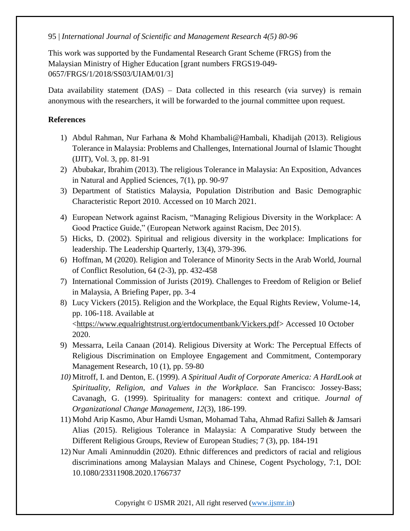This work was supported by the Fundamental Research Grant Scheme (FRGS) from the Malaysian Ministry of Higher Education [grant numbers FRGS19-049- 0657/FRGS/1/2018/SS03/UIAM/01/3]

Data availability statement (DAS) – Data collected in this research (via survey) is remain anonymous with the researchers, it will be forwarded to the journal committee upon request.

## **References**

- 1) Abdul Rahman, Nur Farhana & Mohd Khambali@Hambali, Khadijah (2013). Religious Tolerance in Malaysia: Problems and Challenges, International Journal of Islamic Thought (IJIT), Vol. 3, pp. 81-91
- 2) Abubakar, Ibrahim (2013). The religious Tolerance in Malaysia: An Exposition, Advances in Natural and Applied Sciences, 7(1), pp. 90-97
- 3) Department of Statistics Malaysia, Population Distribution and Basic Demographic Characteristic Report 2010. Accessed on 10 March 2021.
- 4) European Network against Racism, "Managing Religious Diversity in the Workplace: A Good Practice Guide," (European Network against Racism, Dec 2015).
- 5) Hicks, D. (2002). Spiritual and religious diversity in the workplace: Implications for leadership. The Leadership Quarterly, 13(4), 379-396.
- 6) Hoffman, M (2020). Religion and Tolerance of Minority Sects in the Arab World, Journal of Conflict Resolution, 64 (2-3), pp. 432-458
- 7) International Commission of Jurists (2019). Challenges to Freedom of Religion or Belief in Malaysia, A Briefing Paper, pp. 3-4
- 8) Lucy Vickers (2015). Religion and the Workplace, the Equal Rights Review, Volume-14, pp. 106-118. Available at [<https://www.equalrightstrust.org/ertdocumentbank/Vickers.pdf>](https://www.equalrightstrust.org/ertdocumentbank/Vickers.pdf) Accessed 10 October 2020.
- 9) Messarra, Leila Canaan (2014). Religious Diversity at Work: The Perceptual Effects of Religious Discrimination on Employee Engagement and Commitment, Contemporary Management Research, 10 (1), pp. 59-80
- *10)* Mitroff, I. and Denton, E. (1999). *A Spiritual Audit of Corporate America: A HardLook at Spirituality, Religion, and Values in the Workplace.* San Francisco: Jossey-Bass; Cavanagh, G. (1999). Spirituality for managers: context and critique. *Journal of Organizational Change Management*, *12*(3), 186-199.
- 11) Mohd Arip Kasmo, Abur Hamdi Usman, Mohamad Taha, Ahmad Rafizi Salleh & Jamsari Alias (2015). Religious Tolerance in Malaysia: A Comparative Study between the Different Religious Groups, Review of European Studies; 7 (3), pp. 184-191
- 12) Nur Amali Aminnuddin (2020). Ethnic differences and predictors of racial and religious discriminations among Malaysian Malays and Chinese, Cogent Psychology, 7:1, DOI: 10.1080/23311908.2020.1766737